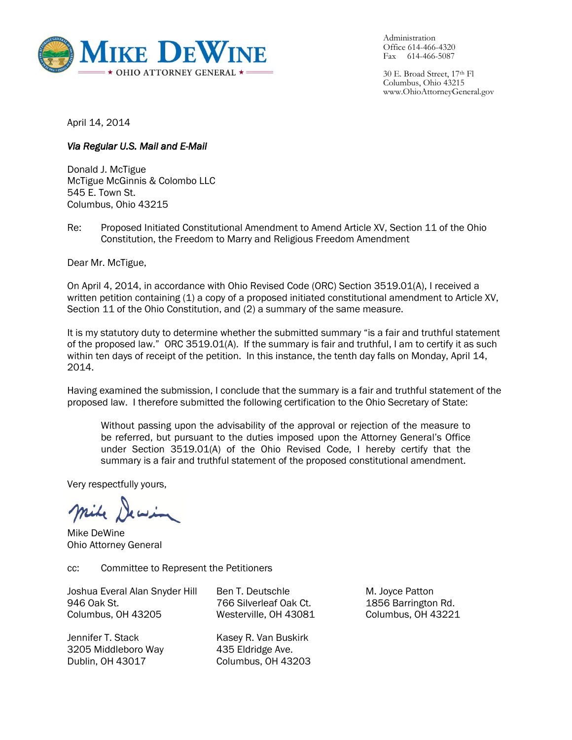

Administration Office 614-466-4320 Fax 614-466-5087

30 E. Broad Street, 17th Fl Columbus, Ohio 43215 www.OhioAttorneyGeneral.gov

April 14, 2014

## *Via Regular U.S. Mail and E-Mail*

Donald J. McTigue McTigue McGinnis & Colombo LLC 545 E. Town St. Columbus, Ohio 43215

Re: Proposed Initiated Constitutional Amendment to Amend Article XV, Section 11 of the Ohio Constitution, the Freedom to Marry and Religious Freedom Amendment

Dear Mr. McTigue,

On April 4, 2014, in accordance with Ohio Revised Code (ORC) Section 3519.01(A), I received a written petition containing (1) a copy of a proposed initiated constitutional amendment to Article XV, Section 11 of the Ohio Constitution, and (2) a summary of the same measure.

It is my statutory duty to determine whether the submitted summary "is a fair and truthful statement of the proposed law." ORC 3519.01(A). If the summary is fair and truthful, I am to certify it as such within ten days of receipt of the petition. In this instance, the tenth day falls on Monday, April 14, 2014.

Having examined the submission, I conclude that the summary is a fair and truthful statement of the proposed law. I therefore submitted the following certification to the Ohio Secretary of State:

Without passing upon the advisability of the approval or rejection of the measure to be referred, but pursuant to the duties imposed upon the Attorney General's Office under Section 3519.01(A) of the Ohio Revised Code, I hereby certify that the summary is a fair and truthful statement of the proposed constitutional amendment.

Very respectfully yours,

Mike DeWine Ohio Attorney General

cc: Committee to Represent the Petitioners

Joshua Everal Alan Snyder Hill 946 Oak St. Columbus, OH 43205

Jennifer T. Stack 3205 Middleboro Way Dublin, OH 43017

Ben T. Deutschle 766 Silverleaf Oak Ct. Westerville, OH 43081

Kasey R. Van Buskirk 435 Eldridge Ave. Columbus, OH 43203

M. Joyce Patton 1856 Barrington Rd. Columbus, OH 43221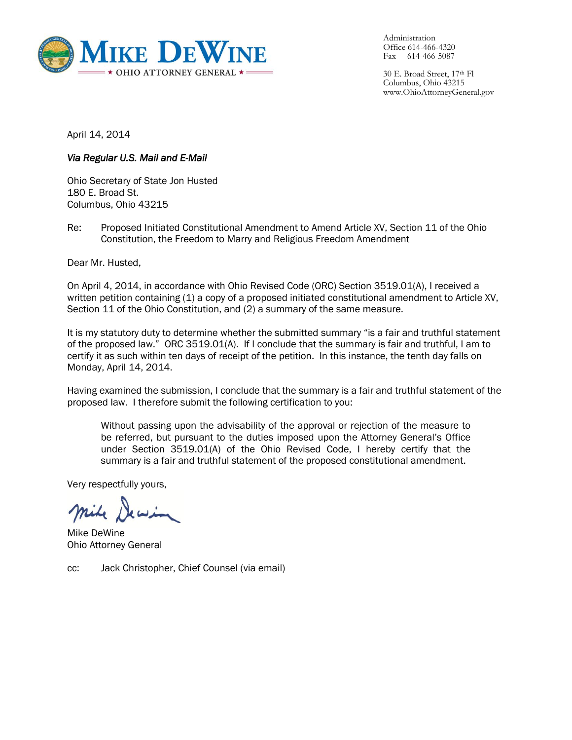

Administration Office 614-466-4320 Fax 614-466-5087

30 E. Broad Street, 17th Fl Columbus, Ohio 43215 www.OhioAttorneyGeneral.gov

April 14, 2014

## *Via Regular U.S. Mail and E-Mail*

Ohio Secretary of State Jon Husted 180 E. Broad St. Columbus, Ohio 43215

Re: Proposed Initiated Constitutional Amendment to Amend Article XV, Section 11 of the Ohio Constitution, the Freedom to Marry and Religious Freedom Amendment

Dear Mr. Husted,

On April 4, 2014, in accordance with Ohio Revised Code (ORC) Section 3519.01(A), I received a written petition containing (1) a copy of a proposed initiated constitutional amendment to Article XV, Section 11 of the Ohio Constitution, and (2) a summary of the same measure.

It is my statutory duty to determine whether the submitted summary "is a fair and truthful statement of the proposed law." ORC 3519.01(A). If I conclude that the summary is fair and truthful, I am to certify it as such within ten days of receipt of the petition. In this instance, the tenth day falls on Monday, April 14, 2014.

Having examined the submission, I conclude that the summary is a fair and truthful statement of the proposed law. I therefore submit the following certification to you:

Without passing upon the advisability of the approval or rejection of the measure to be referred, but pursuant to the duties imposed upon the Attorney General's Office under Section 3519.01(A) of the Ohio Revised Code, I hereby certify that the summary is a fair and truthful statement of the proposed constitutional amendment.

Very respectfully yours,

Mike DeWine Ohio Attorney General

cc: Jack Christopher, Chief Counsel (via email)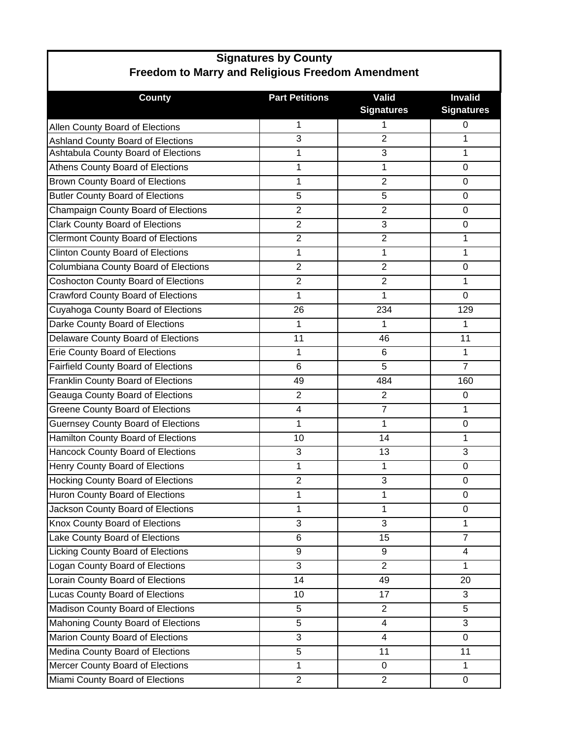| <b>Freedom to Marry and Religious Freedom Amendment</b> |                       |                                   |                                     |  |  |
|---------------------------------------------------------|-----------------------|-----------------------------------|-------------------------------------|--|--|
| <b>County</b>                                           | <b>Part Petitions</b> | <b>Valid</b><br><b>Signatures</b> | <b>Invalid</b><br><b>Signatures</b> |  |  |
| Allen County Board of Elections                         | 1                     | 1                                 | $\pmb{0}$                           |  |  |
| Ashland County Board of Elections                       | 3                     | $\overline{2}$                    | 1                                   |  |  |
| Ashtabula County Board of Elections                     | 1                     | 3                                 | 1                                   |  |  |
| Athens County Board of Elections                        | $\mathbf{1}$          | 1                                 | $\mathbf 0$                         |  |  |
| <b>Brown County Board of Elections</b>                  | $\mathbf{1}$          | $\overline{2}$                    | $\mathbf 0$                         |  |  |
| <b>Butler County Board of Elections</b>                 | 5                     | 5                                 | $\mathbf 0$                         |  |  |
| Champaign County Board of Elections                     | $\overline{2}$        | $\overline{2}$                    | 0                                   |  |  |
| <b>Clark County Board of Elections</b>                  | $\overline{2}$        | 3                                 | $\mathbf 0$                         |  |  |
| <b>Clermont County Board of Elections</b>               | $\overline{2}$        | $\overline{2}$                    | 1                                   |  |  |
| <b>Clinton County Board of Elections</b>                | 1                     | 1                                 | 1                                   |  |  |
| Columbiana County Board of Elections                    | $\overline{2}$        | $\overline{2}$                    | $\mathbf 0$                         |  |  |
| <b>Coshocton County Board of Elections</b>              | $\overline{2}$        | $\overline{2}$                    | 1                                   |  |  |
| <b>Crawford County Board of Elections</b>               | $\mathbf{1}$          | 1                                 | $\overline{0}$                      |  |  |
| Cuyahoga County Board of Elections                      | 26                    | 234                               | 129                                 |  |  |
| Darke County Board of Elections                         | $\mathbf{1}$          | 1                                 | $\mathbf{1}$                        |  |  |
| Delaware County Board of Elections                      | 11                    | 46                                | 11                                  |  |  |
| <b>Erie County Board of Elections</b>                   | $\mathbf{1}$          | 6                                 | $\mathbf{1}$                        |  |  |
| <b>Fairfield County Board of Elections</b>              | 6                     | 5                                 | $\overline{7}$                      |  |  |
| Franklin County Board of Elections                      | 49                    | 484                               | 160                                 |  |  |
| Geauga County Board of Elections                        | $\overline{2}$        | 2                                 | $\mathbf 0$                         |  |  |
| <b>Greene County Board of Elections</b>                 | $\overline{4}$        | $\overline{7}$                    | 1                                   |  |  |
| <b>Guernsey County Board of Elections</b>               | $\mathbf{1}$          | $\mathbf{1}$                      | $\mathbf 0$                         |  |  |
| Hamilton County Board of Elections                      | 10                    | 14                                | 1                                   |  |  |
| Hancock County Board of Elections                       | 3                     | 13                                | 3                                   |  |  |
| Henry County Board of Elections                         | $\mathbf{1}$          | 1                                 | 0                                   |  |  |
| <b>Hocking County Board of Elections</b>                | $\overline{2}$        | 3                                 | $\mathbf 0$                         |  |  |
| Huron County Board of Elections                         | 1                     | 1                                 | $\mathbf 0$                         |  |  |
| Jackson County Board of Elections                       | 1                     | 1                                 | $\mathbf 0$                         |  |  |
| Knox County Board of Elections                          | 3                     | 3                                 | $\mathbf{1}$                        |  |  |
| Lake County Board of Elections                          | 6                     | 15                                | $\overline{7}$                      |  |  |
| <b>Licking County Board of Elections</b>                | 9                     | 9                                 | 4                                   |  |  |
| Logan County Board of Elections                         | 3                     | 2                                 | 1                                   |  |  |
| Lorain County Board of Elections                        | 14                    | 49                                | 20                                  |  |  |
| Lucas County Board of Elections                         | 10                    | 17                                | 3                                   |  |  |
| Madison County Board of Elections                       | 5                     | 2                                 | 5                                   |  |  |
| Mahoning County Board of Elections                      | 5                     | 4                                 | 3                                   |  |  |
| Marion County Board of Elections                        | 3                     | $\overline{4}$                    | $\overline{0}$                      |  |  |
| Medina County Board of Elections                        | 5                     | 11                                | 11                                  |  |  |
| Mercer County Board of Elections                        | $\mathbf{1}$          | $\Omega$                          | $\mathbf{1}$                        |  |  |
| Miami County Board of Elections                         | $\overline{2}$        | $\overline{2}$                    | 0                                   |  |  |

## **Signatures by County**